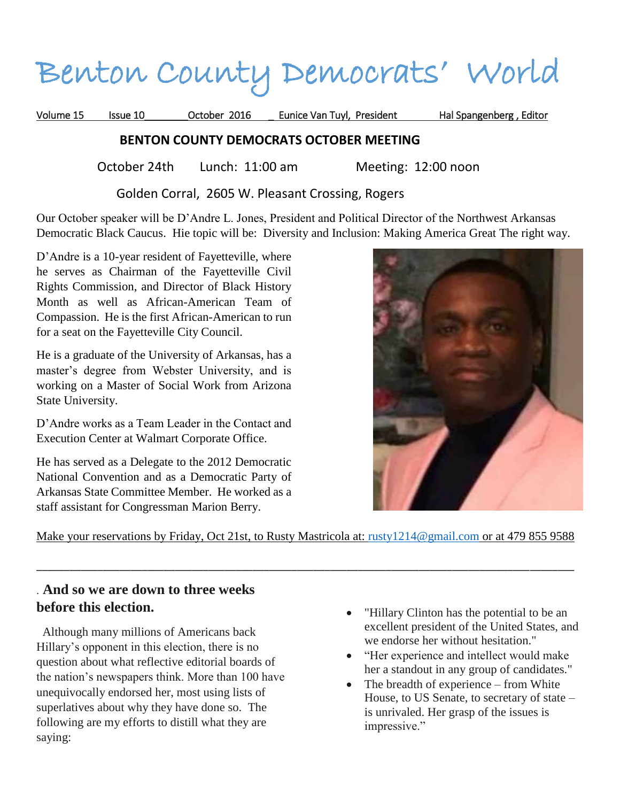# Benton County Democrats' World

Volume 15 Issue 10 October 2016 Eunice Van Tuyl, President Hal Spangenberg , Editor

### **BENTON COUNTY DEMOCRATS OCTOBER MEETING**

October 24th Lunch: 11:00 am Meeting: 12:00 noon

Golden Corral, 2605 W. Pleasant Crossing, Rogers

Our October speaker will be D'Andre L. Jones, President and Political Director of the Northwest Arkansas Democratic Black Caucus. Hie topic will be: Diversity and Inclusion: Making America Great The right way.

D'Andre is a 10-year resident of Fayetteville, where he serves as Chairman of the Fayetteville Civil Rights Commission, and Director of Black History Month as well as African-American Team of Compassion. He is the first African-American to run for a seat on the Fayetteville City Council.

He is a graduate of the University of Arkansas, has a master's degree from Webster University, and is working on a Master of Social Work from Arizona State University.

D'Andre works as a Team Leader in the Contact and Execution Center at Walmart Corporate Office.

He has served as a Delegate to the 2012 Democratic National Convention and as a Democratic Party of Arkansas State Committee Member. He worked as a staff assistant for Congressman Marion Berry.



Make your reservations by Friday, Oct 21st, to Rusty Mastricola at: [rusty1214@gmail.com](mailto:rusty1214@gmail.com) or at 479 855 9588

\_\_\_\_\_\_\_\_\_\_\_\_\_\_\_\_\_\_\_\_\_\_\_\_\_\_\_\_\_\_\_\_\_\_\_\_\_\_\_\_\_\_\_\_\_\_\_\_\_\_\_\_\_\_\_\_\_\_\_\_\_\_\_\_\_\_\_\_\_\_\_\_\_\_\_\_\_\_\_\_\_\_\_\_\_\_\_\_\_\_\_\_\_\_\_\_\_

## . **And so we are down to three weeks before this election.**

 Although many millions of Americans back Hillary's opponent in this election, there is no question about what reflective editorial boards of the nation's newspapers think. More than 100 have unequivocally endorsed her, most using lists of superlatives about why they have done so. The following are my efforts to distill what they are saying:

- "Hillary Clinton has the potential to be an excellent president of the United States, and we endorse her without hesitation."
- "Her experience and intellect would make her a standout in any group of candidates."
- The breadth of experience from White House, to US Senate, to secretary of state – is unrivaled. Her grasp of the issues is impressive."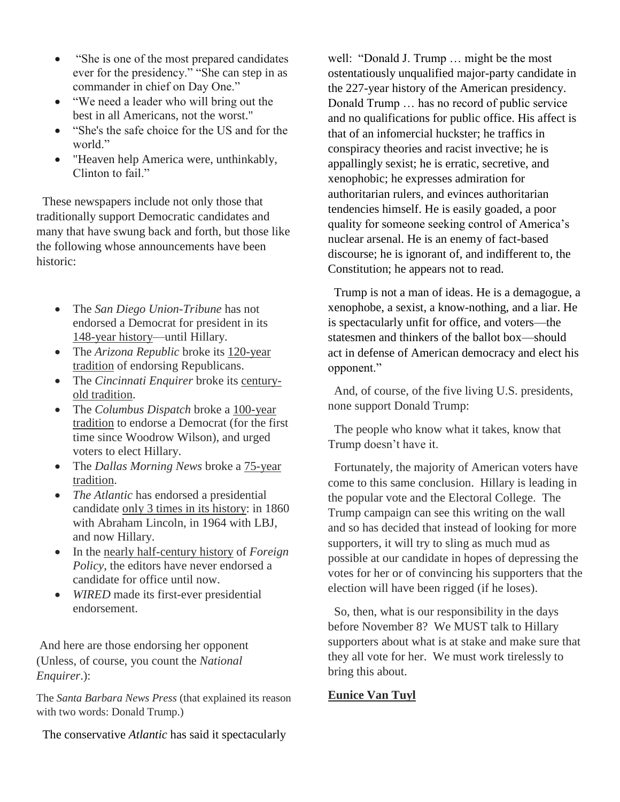- "She is one of the most prepared candidates" ever for the presidency." "She can step in as commander in chief on Day One."
- "We need a leader who will bring out the best in all Americans, not the worst."
- "She's the safe choice for the US and for the world."
- "Heaven help America were, unthinkably, Clinton to fail."

 These newspapers include not only those that traditionally support Democratic candidates and many that have swung back and forth, but those like the following whose announcements have been historic:

- The *San Diego Union-Tribune* has not endorsed a Democrat for president in its 148-year history—until Hillary.
- The *Arizona Republic* broke its 120-year tradition of endorsing Republicans.
- The *Cincinnati Enquirer* broke its centuryold tradition.
- The *Columbus Dispatch* broke a 100-year tradition to endorse a Democrat (for the first time since Woodrow Wilson), and urged voters to elect Hillary.
- The *Dallas Morning News* broke a  $75$ -year tradition.
- *The Atlantic* has endorsed a presidential candidate only 3 times in its history: in 1860 with Abraham Lincoln, in 1964 with LBJ, and now Hillary.
- In the nearly half-century history of *Foreign Policy*, the editors have never endorsed a candidate for office until now.
- *WIRED* made its first-ever presidential endorsement.

And here are those endorsing her opponent (Unless, of course, you count the *National Enquirer*.):

The *Santa Barbara News Press* (that explained its reason with two words: Donald Trump.)

The conservative *Atlantic* has said it spectacularly

well: "Donald J. Trump … might be the most ostentatiously unqualified major-party candidate in the 227-year history of the American presidency. Donald Trump … has no record of public service and no qualifications for public office. His affect is that of an infomercial huckster; he traffics in conspiracy theories and racist invective; he is appallingly sexist; he is erratic, secretive, and xenophobic; he expresses admiration for authoritarian rulers, and evinces authoritarian tendencies himself. He is easily goaded, a poor quality for someone seeking control of America's nuclear arsenal. He is an enemy of fact-based discourse; he is ignorant of, and indifferent to, the Constitution; he appears not to read.

 Trump is not a man of ideas. He is a demagogue, a xenophobe, a sexist, a know-nothing, and a liar. He is spectacularly unfit for office, and voters—the statesmen and thinkers of the ballot box—should act in defense of American democracy and elect his opponent."

 And, of course, of the five living U.S. presidents, none support Donald Trump:

 The people who know what it takes, know that Trump doesn't have it.

 Fortunately, the majority of American voters have come to this same conclusion. Hillary is leading in the popular vote and the Electoral College. The Trump campaign can see this writing on the wall and so has decided that instead of looking for more supporters, it will try to sling as much mud as possible at our candidate in hopes of depressing the votes for her or of convincing his supporters that the election will have been rigged (if he loses).

 So, then, what is our responsibility in the days before November 8? We MUST talk to Hillary supporters about what is at stake and make sure that they all vote for her. We must work tirelessly to bring this about.

#### **Eunice Van Tuyl**